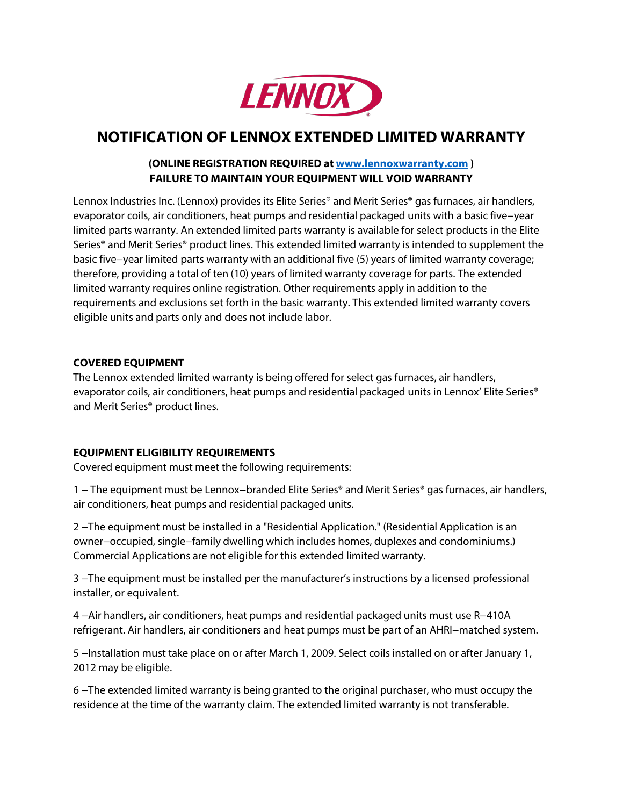

# **NOTIFICATION OF LENNOX EXTENDED LIMITED WARRANTY**

## **(ONLINE REGISTRATION REQUIRED a[t www.lennoxwarranty.com](http://www.lennoxwarranty.com/) ) FAILURE TO MAINTAIN YOUR EQUIPMENT WILL VOID WARRANTY**

Lennox Industries Inc. (Lennox) provides its Elite Series<sup>®</sup> and Merit Series<sup>®</sup> gas furnaces, air handlers, evaporator coils, air conditioners, heat pumps and residential packaged units with a basic five−year limited parts warranty. An extended limited parts warranty is available for select products in the Elite Series® and Merit Series® product lines. This extended limited warranty is intended to supplement the basic five−year limited parts warranty with an additional five (5) years of limited warranty coverage; therefore, providing a total of ten (10) years of limited warranty coverage for parts. The extended limited warranty requires online registration. Other requirements apply in addition to the requirements and exclusions set forth in the basic warranty. This extended limited warranty covers eligible units and parts only and does not include labor.

#### **COVERED EQUIPMENT**

The Lennox extended limited warranty is being offered for select gas furnaces, air handlers, evaporator coils, air conditioners, heat pumps and residential packaged units in Lennox' Elite Series<sup>®</sup> and Merit Series® product lines.

## **EQUIPMENT ELIGIBILITY REQUIREMENTS**

Covered equipment must meet the following requirements:

1 − The equipment must be Lennox−branded Elite Series® and Merit Series® gas furnaces, air handlers, air conditioners, heat pumps and residential packaged units.

2 –The equipment must be installed in a "Residential Application." (Residential Application is an owner−occupied, single−family dwelling which includes homes, duplexes and condominiums.) Commercial Applications are not eligible for this extended limited warranty.

3 -The equipment must be installed per the manufacturer's instructions by a licensed professional installer, or equivalent.

4 −Air handlers, air conditioners, heat pumps and residential packaged units must use R−410A refrigerant. Air handlers, air conditioners and heat pumps must be part of an AHRI−matched system.

5 −Installation must take place on or after March 1, 2009. Select coils installed on or after January 1, 2012 may be eligible.

6 −The extended limited warranty is being granted to the original purchaser, who must occupy the residence at the time of the warranty claim. The extended limited warranty is not transferable.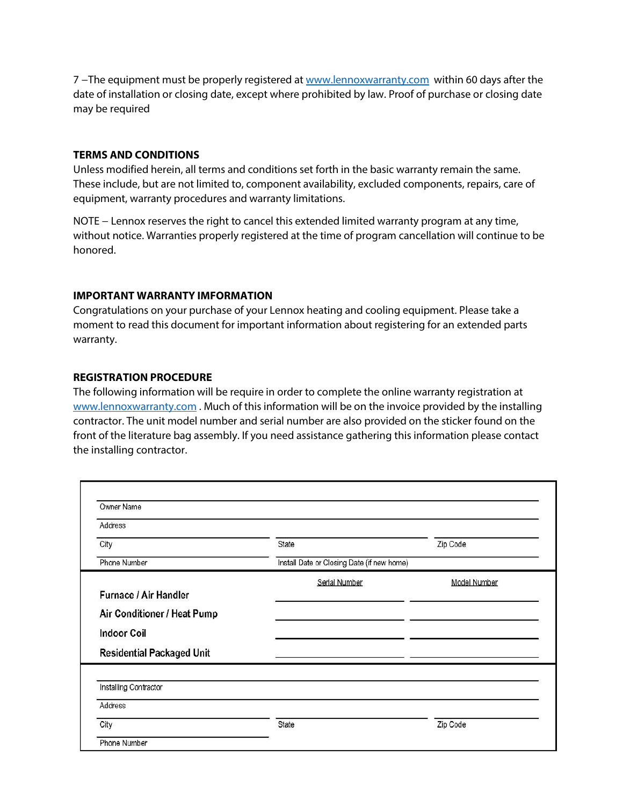7 -The equipment must be properly registered a[t www.lennoxwarranty.com](http://www.lennoxwarranty.com/) within 60 days after the date of installation or closing date, except where prohibited by law. Proof of purchase or closing date may be required

#### **TERMS AND CONDITIONS**

Unless modified herein, all terms and conditions set forth in the basic warranty remain the same. These include, but are not limited to, component availability, excluded components, repairs, care of equipment, warranty procedures and warranty limitations.

NOTE − Lennox reserves the right to cancel this extended limited warranty program at any time, without notice. Warranties properly registered at the time of program cancellation will continue to be honored.

#### **IMPORTANT WARRANTY IMFORMATION**

Congratulations on your purchase of your Lennox heating and cooling equipment. Please take a moment to read this document for important information about registering for an extended parts warranty.

#### **REGISTRATION PROCEDURE**

The following information will be require in order to complete the online warranty registration at [www.lennoxwarranty.com](http://www.lennoxwarranty.com/) . Much of this information will be on the invoice provided by the installing contractor. The unit model number and serial number are also provided on the sticker found on the front of the literature bag assembly. If you need assistance gathering this information please contact the installing contractor.

| Address                          |                                            |              |
|----------------------------------|--------------------------------------------|--------------|
| City                             | State                                      | Zip Code     |
| Phone Number                     | Install Date or Closing Date (if new home) |              |
|                                  | Serial Number                              | Model Number |
| Furnace / Air Handler            |                                            |              |
| Air Conditioner / Heat Pump      |                                            |              |
| <b>Indoor Coil</b>               |                                            |              |
| <b>Residential Packaged Unit</b> |                                            |              |
| Installing Contractor            |                                            |              |
| Address                          |                                            |              |
| City                             | State                                      | Zip Code     |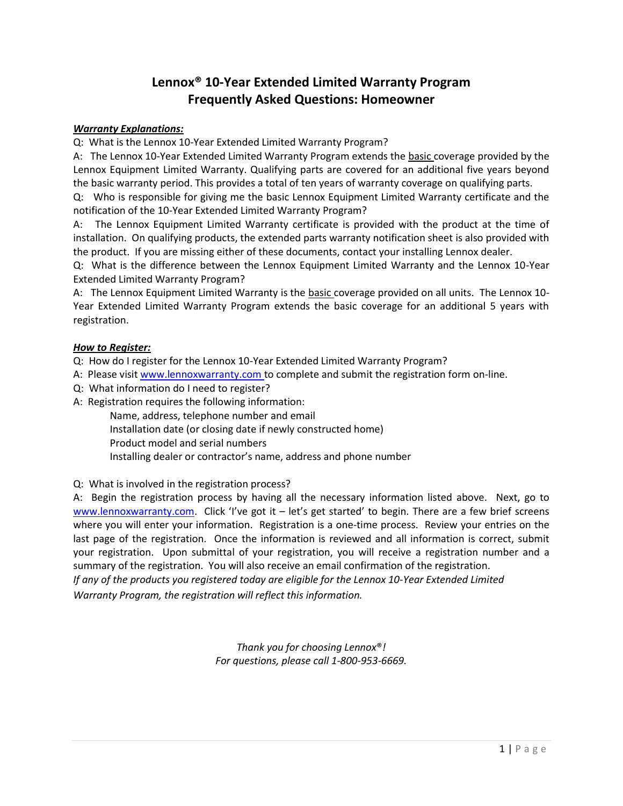# **Lennox® 10-Year Extended Limited Warranty Program Frequently Asked Questions: Homeowner**

#### *Warranty Explanations:*

Q: What is the Lennox 10-Year Extended Limited Warranty Program?

A: The Lennox 10-Year Extended Limited Warranty Program extends the basic coverage provided by the Lennox Equipment Limited Warranty. Qualifying parts are covered for an additional five years beyond the basic warranty period. This provides a total of ten years of warranty coverage on qualifying parts.

Q: Who is responsible for giving me the basic Lennox Equipment Limited Warranty certificate and the notification of the 10-Year Extended Limited Warranty Program?

A: The Lennox Equipment Limited Warranty certificate is provided with the product at the time of installation. On qualifying products, the extended parts warranty notification sheet is also provided with the product. If you are missing either of these documents, contact your installing Lennox dealer.

Q: What is the difference between the Lennox Equipment Limited Warranty and the Lennox 10-Year Extended Limited Warranty Program?

A: The Lennox Equipment Limited Warranty is the basic coverage provided on all units. The Lennox 10- Year Extended Limited Warranty Program extends the basic coverage for an additional 5 years with registration.

#### *How to Register:*

Q: How do I register for the Lennox 10-Year Extended Limited Warranty Program?

- A: Please visit www.lennoxwarranty.com to complete and submit the registration form on-line.
- Q: What information do I need to register?
- A: Registration requires the following information:
	- Name, address, telephone number and email
	- Installation date (or closing date if newly constructed home)
	- Product model and serial numbers

Installing dealer or contractor's name, address and phone number

#### Q: What is involved in the registration process?

A: Begin the registration process by having all the necessary information listed above. Next, go to www.lennoxwarranty.com. Click 'I've got it – let's get started' to begin. There are a few brief screens where you will enter your information. Registration is a one-time process. Review your entries on the last page of the registration. Once the information is reviewed and all information is correct, submit your registration. Upon submittal of your registration, you will receive a registration number and a summary of the registration. You will also receive an email confirmation of the registration.

*If any of the products you registered today are eligible for the Lennox 10-Year Extended Limited Warranty Program, the registration will reflect this information.* 

> *Thank you for choosing Lennox*®*! For questions, please call 1-800-953-6669.*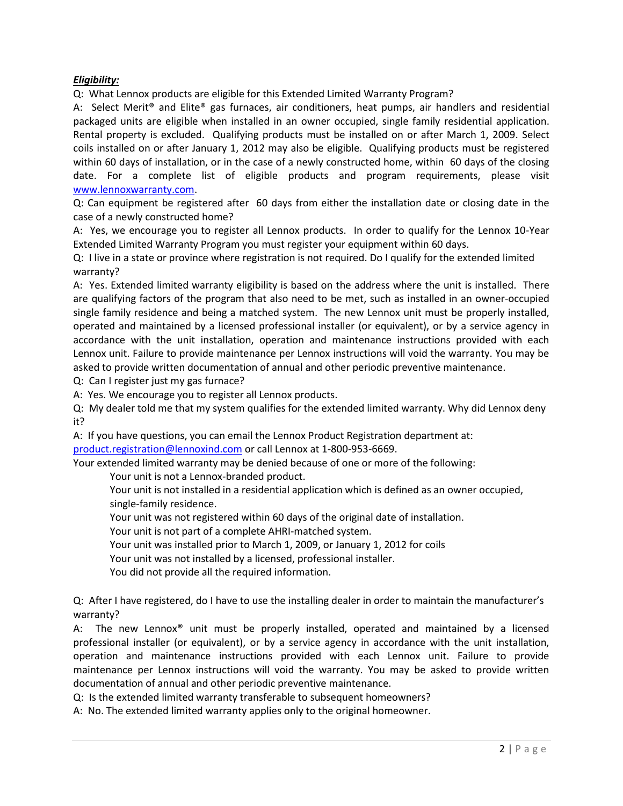#### *Eligibility:*

Q: What Lennox products are eligible for this Extended Limited Warranty Program?

A: Select Merit® and Elite® gas furnaces, air conditioners, heat pumps, air handlers and residential packaged units are eligible when installed in an owner occupied, single family residential application. Rental property is excluded. Qualifying products must be installed on or after March 1, 2009. Select coils installed on or after January 1, 2012 may also be eligible. Qualifying products must be registered within 60 days of installation, or in the case of a newly constructed home, within 60 days of the closing date. For a complete list of eligible products and program requirements, please visit www.lennoxwarranty.com.

Q: Can equipment be registered after 60 days from either the installation date or closing date in the case of a newly constructed home?

A: Yes, we encourage you to register all Lennox products. In order to qualify for the Lennox 10-Year Extended Limited Warranty Program you must register your equipment within 60 days.

Q: I live in a state or province where registration is not required. Do I qualify for the extended limited warranty?

A: Yes. Extended limited warranty eligibility is based on the address where the unit is installed. There are qualifying factors of the program that also need to be met, such as installed in an owner-occupied single family residence and being a matched system. The new Lennox unit must be properly installed, operated and maintained by a licensed professional installer (or equivalent), or by a service agency in accordance with the unit installation, operation and maintenance instructions provided with each Lennox unit. Failure to provide maintenance per Lennox instructions will void the warranty. You may be asked to provide written documentation of annual and other periodic preventive maintenance.

Q: Can I register just my gas furnace?

A: Yes. We encourage you to register all Lennox products.

Q: My dealer told me that my system qualifies for the extended limited warranty. Why did Lennox deny it?

A: If you have questions, you can email the Lennox Product Registration department at:

[product.registration@lennoxind.com](mailto:product.registration@lennoxind.com) or call Lennox at 1-800-953-6669.

Your extended limited warranty may be denied because of one or more of the following:

Your unit is not a Lennox-branded product.

Your unit is not installed in a residential application which is defined as an owner occupied, single-family residence.

Your unit was not registered within 60 days of the original date of installation.

Your unit is not part of a complete AHRI-matched system.

Your unit was installed prior to March 1, 2009, or January 1, 2012 for coils

Your unit was not installed by a licensed, professional installer.

You did not provide all the required information.

Q: After I have registered, do I have to use the installing dealer in order to maintain the manufacturer's warranty?

A: The new Lennox® unit must be properly installed, operated and maintained by a licensed professional installer (or equivalent), or by a service agency in accordance with the unit installation, operation and maintenance instructions provided with each Lennox unit. Failure to provide maintenance per Lennox instructions will void the warranty. You may be asked to provide written documentation of annual and other periodic preventive maintenance.

Q: Is the extended limited warranty transferable to subsequent homeowners?

A: No. The extended limited warranty applies only to the original homeowner.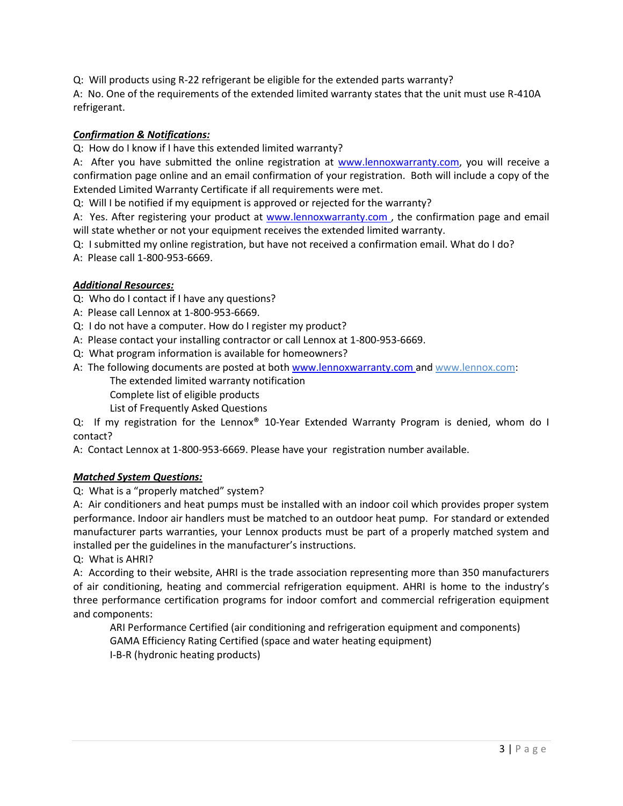Q: Will products using R-22 refrigerant be eligible for the extended parts warranty?

A: No. One of the requirements of the extended limited warranty states that the unit must use R-410A refrigerant.

#### *Confirmation & Notifications:*

Q: How do I know if I have this extended limited warranty?

A: After you have submitted the online registration at www.lennoxwarranty.com, you will receive a confirmation page online and an email confirmation of your registration. Both will include a copy of the Extended Limited Warranty Certificate if all requirements were met.

Q: Will I be notified if my equipment is approved or rejected for the warranty?

A: Yes. After registering your product at www.lennoxwarranty.com , the confirmation page and email will state whether or not your equipment receives the extended limited warranty.

- Q: I submitted my online registration, but have not received a confirmation email. What do I do?
- A: Please call 1-800-953-6669.

#### *Additional Resources:*

- Q: Who do I contact if I have any questions?
- A: Please call Lennox at 1-800-953-6669.
- Q: I do not have a computer. How do I register my product?
- A: Please contact your installing contractor or call Lennox at 1-800-953-6669.
- Q: What program information is available for homeowners?
- A: The following documents are posted at both www.lennoxwarranty.com and www.lennox.com: The extended limited warranty notification
	- Complete list of eligible products
	- List of Frequently Asked Questions

Q: If my registration for the Lennox® 10-Year Extended Warranty Program is denied, whom do I contact?

A: Contact Lennox at 1-800-953-6669. Please have your registration number available.

#### *Matched System Questions:*

#### Q: What is a "properly matched" system?

A: Air conditioners and heat pumps must be installed with an indoor coil which provides proper system performance. Indoor air handlers must be matched to an outdoor heat pump. For standard or extended manufacturer parts warranties, your Lennox products must be part of a properly matched system and installed per the guidelines in the manufacturer's instructions.

Q: What is AHRI?

A: According to their website, AHRI is the trade association representing more than 350 manufacturers of air conditioning, heating and commercial refrigeration equipment. AHRI is home to the industry's three performance certification programs for indoor comfort and commercial refrigeration equipment and components:

ARI Performance Certified (air conditioning and refrigeration equipment and components) GAMA Efficiency Rating Certified (space and water heating equipment) I-B-R (hydronic heating products)